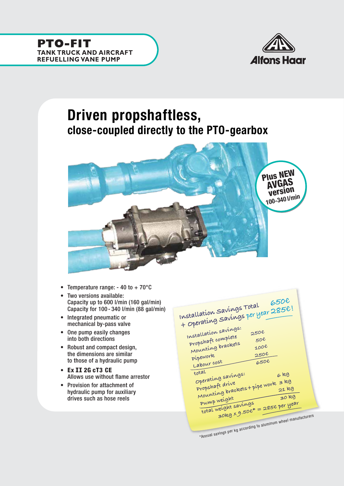



## Driven propshaftless, close-coupled directly to the PTO-gearbox



- Temperature range:  $-40$  to  $+70^{\circ}$ C
- Two versions available: Capacity up to 600 l/min (160 gal/min) Capacity for 100 - 340 l/min (88 gal/min)
- Integrated pneumatic or mechanical by-pass valve
- One pump easily changes into both directions
- Robust and compact design, the dimensions are similar to those of a hydraulic pump
- Ex **II** 2G cT3 CE Allows use without flame arrestor
- Provision for attachment of hydraulic pump for auxiliary drives such as hose reels